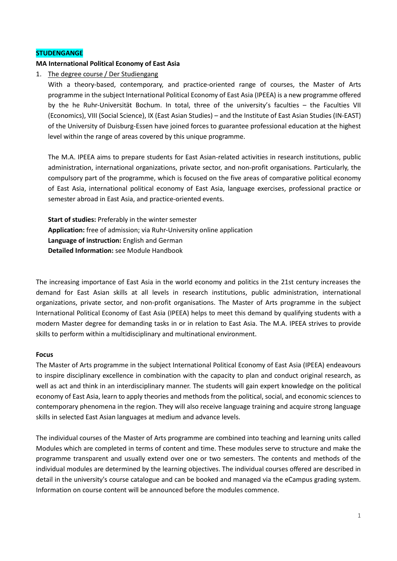### **STUDENGANGE**

#### **MA International Political Economy of East Asia**

1. The degree course / Der Studiengang

With a theory-based, contemporary, and practice-oriented range of courses, the Master of Arts programme in the subject International Political Economy of East Asia (IPEEA) is a new programme offered by the he Ruhr-Universität Bochum. In total, three of the university's faculties – the Faculties VII (Economics), VIII (Social Science), IX (East Asian Studies) – and the Institute of East Asian Studies (IN-EAST) of the University of Duisburg-Essen have joined forces to guarantee professional education at the highest level within the range of areas covered by this unique programme.

The M.A. IPEEA aims to prepare students for East Asian-related activities in research institutions, public administration, international organizations, private sector, and non-profit organisations. Particularly, the compulsory part of the programme, which is focused on the five areas of comparative political economy of East Asia, international political economy of East Asia, language exercises, professional practice or semester abroad in East Asia, and practice-oriented events.

**Start of studies:** Preferably in the winter semester **Application:** free of admission; via Ruhr-University online application **Language of instruction:** English and German **Detailed Information:** see Module Handbook

The increasing importance of East Asia in the world economy and politics in the 21st century increases the demand for East Asian skills at all levels in research institutions, public administration, international organizations, private sector, and non-profit organisations. The Master of Arts programme in the subject International Political Economy of East Asia (IPEEA) helps to meet this demand by qualifying students with a modern Master degree for demanding tasks in or in relation to East Asia. The M.A. IPEEA strives to provide skills to perform within a multidisciplinary and multinational environment.

#### **Focus**

The Master of Arts programme in the subject International Political Economy of East Asia (IPEEA) endeavours to inspire disciplinary excellence in combination with the capacity to plan and conduct original research, as well as act and think in an interdisciplinary manner. The students will gain expert knowledge on the political economy of East Asia, learn to apply theories and methods from the political, social, and economic sciences to contemporary phenomena in the region. They will also receive language training and acquire strong language skills in selected East Asian languages at medium and advance levels.

The individual courses of the Master of Arts programme are combined into teaching and learning units called Modules which are completed in terms of content and time. These modules serve to structure and make the programme transparent and usually extend over one or two semesters. The contents and methods of the individual modules are determined by the learning objectives. The individual courses offered are described in detail in the university's course catalogue and can be booked and managed via the eCampus grading system. Information on course content will be announced before the modules commence.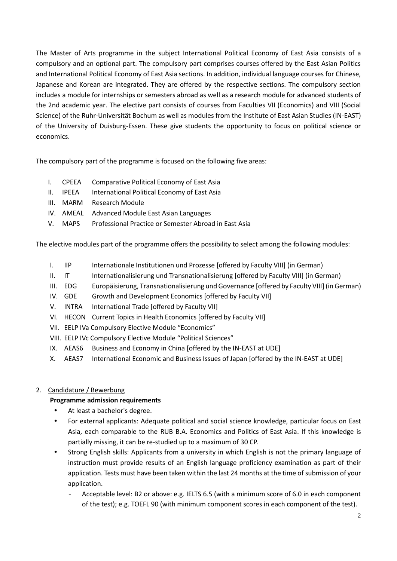The Master of Arts programme in the subject International Political Economy of East Asia consists of a compulsory and an optional part. The compulsory part comprises courses offered by the East Asian Politics and International Political Economy of East Asia sections. In addition, individual language courses for Chinese, Japanese and Korean are integrated. They are offered by the respective sections. The compulsory section includes a module for internships or semesters abroad as well as a research module for advanced students of the 2nd academic year. The elective part consists of courses from Faculties VII (Economics) and VIII (Social Science) of the Ruhr-Universität Bochum as well as modules from the Institute of East Asian Studies (IN-EAST) of the University of Duisburg-Essen. These give students the opportunity to focus on political science or economics.

The compulsory part of the programme is focused on the following five areas:

- I. CPEEA Comparative Political Economy of East Asia
- II. IPEEA International Political Economy of East Asia
- III. MARM Research Module
- IV. AMEAL Advanced Module East Asian Languages
- V. MAPS Professional Practice or Semester Abroad in East Asia

The elective modules part of the programme offers the possibility to select among the following modules:

- I. IIP Internationale Institutionen und Prozesse [offered by Faculty VIII] (in German)
- II. IT Internationalisierung und Transnationalisierung [offered by Faculty VIII] (in German)
- III. EDG Europäisierung, Transnationalisierung und Governance [offered by Faculty VIII] (in German)
- IV. GDE Growth and Development Economics [offered by Faculty VII]
- V. INTRA International Trade [offered by Faculty VII]
- VI. HECON Current Topics in Health Economics [offered by Faculty VII]
- VII. EELP IVa Compulsory Elective Module "Economics"
- VIII. EELP IVc Compulsory Elective Module "Political Sciences"
- IX. AEAS6 Business and Economy in China [offered by the IN-EAST at UDE]
- X. AEAS7 International Economic and Business Issues of Japan [offered by the IN-EAST at UDE]

## 2. Candidature / Bewerbung

## **Programme admission requirements**

- At least a bachelor's degree.
- For external applicants: Adequate political and social science knowledge, particular focus on East Asia, each comparable to the RUB B.A. Economics and Politics of East Asia. If this knowledge is partially missing, it can be re-studied up to a maximum of 30 CP.
- Strong English skills: Applicants from a university in which English is not the primary language of instruction must provide results of an English language proficiency examination as part of their application. Tests must have been taken within the last 24 months at the time of submission of your application.
	- Acceptable level: B2 or above: e.g. IELTS 6.5 (with a minimum score of 6.0 in each component of the test); e.g. TOEFL 90 (with minimum component scores in each component of the test).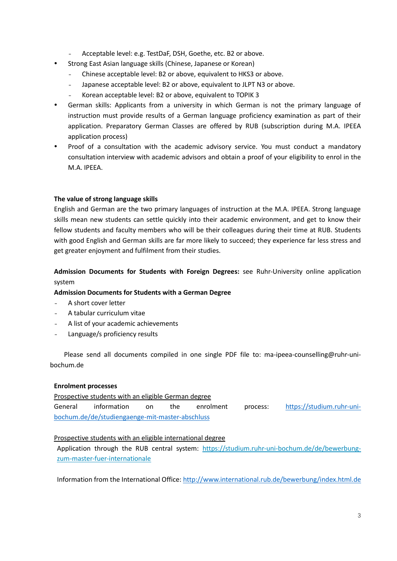- Acceptable level: e.g. TestDaF, DSH, Goethe, etc. B2 or above.
- Strong East Asian language skills (Chinese, Japanese or Korean)
	- Chinese acceptable level: B2 or above, equivalent to HKS3 or above.
	- Japanese acceptable level: B2 or above, equivalent to JLPT N3 or above.
	- Korean acceptable level: B2 or above, equivalent to TOPIK 3
- German skills: Applicants from a university in which German is not the primary language of instruction must provide results of a German language proficiency examination as part of their application. Preparatory German Classes are offered by RUB (subscription during M.A. IPEEA application process)
- Proof of a consultation with the academic advisory service. You must conduct a mandatory consultation interview with academic advisors and obtain a proof of your eligibility to enrol in the M.A. IPEEA.

### **The value of strong language skills**

English and German are the two primary languages of instruction at the M.A. IPEEA. Strong language skills mean new students can settle quickly into their academic environment, and get to know their fellow students and faculty members who will be their colleagues during their time at RUB. Students with good English and German skills are far more likely to succeed; they experience far less stress and get greater enjoyment and fulfilment from their studies.

## **Admission Documents for Students with Foreign Degrees:** see Ruhr-University online application system

#### **Admission Documents for Students with a German Degree**

- A short cover letter
- A tabular curriculum vitae
- A list of your academic achievements
- Language/s proficiency results

Please send all documents compiled in one single PDF file to: ma-ipeea-counselling@ruhr-unibochum.de

### **Enrolment processes**

Prospective students with an eligible German degree

General information on the enrolment process: [https://studium.ruhr-uni](https://studium.ruhr-uni-bochum.de/de/studiengaenge-mit-master-abschluss)[bochum.de/de/studiengaenge-mit-master-abschluss](https://studium.ruhr-uni-bochum.de/de/studiengaenge-mit-master-abschluss)

### Prospective students with an eligible international degree

Application through the RUB central system: [https://studium.ruhr-uni-bochum.de/de/bewerbung](https://studium.ruhr-uni-bochum.de/de/bewerbung-zum-master-fuer-internationale)[zum-master-fuer-internationale](https://studium.ruhr-uni-bochum.de/de/bewerbung-zum-master-fuer-internationale)

Information from the International Office[: http://www.international.rub.de/bewerbung/index.html.de](http://www.international.rub.de/bewerbung/index.html.de)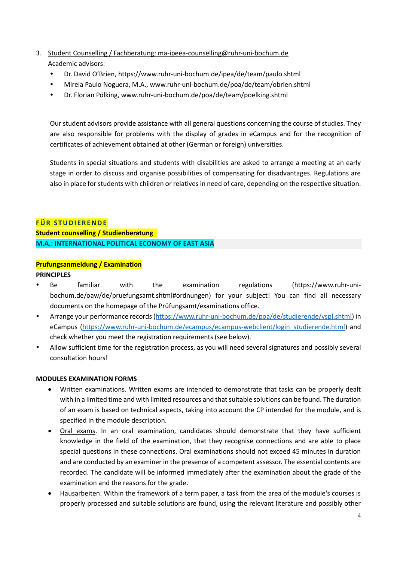- 3. Student Counselling / Fachberatung: ma-ipeea-counselling@ruhr-uni-bochum.de Academic advisors:
	- Dr. David O'Brien,<https://www.ruhr-uni-bochum.de/ipea/de/team/paulo.shtml>
	- Mireia Paulo Noguera, M.A., www.ruhr-uni-bochum.de/poa/de/team/obrien.shtml
	- Dr. Florian Pölking, www.ruhr-uni-bochum.de/poa/de/team/poelking.shtml

Our student advisors provide assistance with all general questions concerning the course of studies. They are also responsible for problems with the display of grades in eCampus and for the recognition of certificates of achievement obtained at other (German or foreign) universities.

Students in special situations and students with disabilities are asked to arrange a meeting at an early stage in order to discuss and organise possibilities of compensating for disadvantages. Regulations are also in place for students with children or relatives in need of care, depending on the respective situation.

## **FÜR STUDIERENDE**

**Student counselling / Studienberatung M.A.: INTERNATIONAL POLITICAL ECONOMY OF EAST ASIA**

# **Prufungsanmeldung / Examination**

## **PRINCIPLES**

- Be familiar with the examination regulations (https://www.ruhr-unibochum.de/oaw/de/pruefungsamt.shtml#ordnungen) for your subject! You can find all necessary documents on the homepage of the Prüfungsamt/examinations office.
- Arrange your performance records [\(https://www.ruhr-uni-bochum.de/poa/de/studierende/vspl.shtml\)](https://www.ruhr-uni-bochum.de/poa/de/studierende/vspl.shtml) in eCampus [\(https://www.ruhr-uni-bochum.de/ecampus/ecampus-webclient/login\\_studierende.html\)](https://www.ruhr-uni-bochum.de/ecampus/ecampus-webclient/login_studierende.html) and check whether you meet the registration requirements (see below).
- Allow sufficient time for the registration process, as you will need several signatures and possibly several consultation hours!

## **MODULES EXAMINATION FORMS**

- Written examinations. Written exams are intended to demonstrate that tasks can be properly dealt with in a limited time and with limited resources and that suitable solutions can be found. The duration of an exam is based on technical aspects, taking into account the CP intended for the module, and is specified in the module description.
- Oral exams. In an oral examination, candidates should demonstrate that they have sufficient knowledge in the field of the examination, that they recognise connections and are able to place special questions in these connections. Oral examinations should not exceed 45 minutes in duration and are conducted by an examiner in the presence of a competent assessor. The essential contents are recorded. The candidate will be informed immediately after the examination about the grade of the examination and the reasons for the grade.
- Hausarbeiten. Within the framework of a term paper, a task from the area of the module's courses is properly processed and suitable solutions are found, using the relevant literature and possibly other